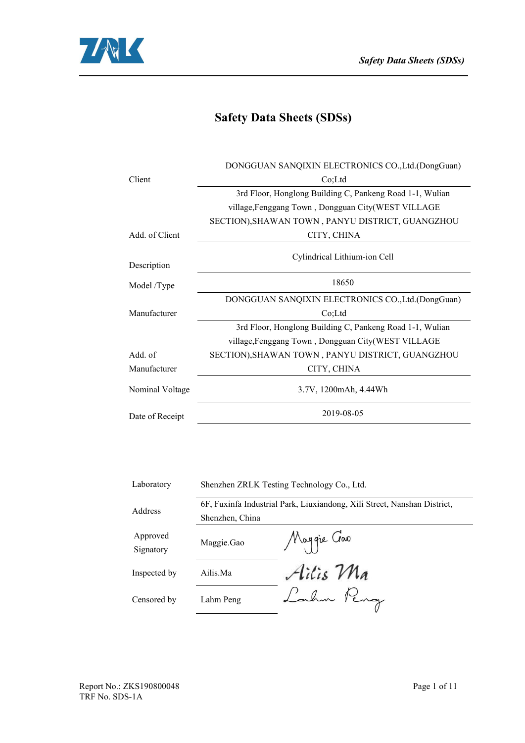



# **Safety Data Sheets (SDSs)**

|                 | DONGGUAN SANQIXIN ELECTRONICS CO., Ltd. (DongGuan)       |
|-----------------|----------------------------------------------------------|
| Client          | Co;Ltd                                                   |
|                 | 3rd Floor, Honglong Building C, Pankeng Road 1-1, Wulian |
|                 | village, Fenggang Town, Dongguan City(WEST VILLAGE       |
|                 | SECTION), SHAWAN TOWN, PANYU DISTRICT, GUANGZHOU         |
| Add. of Client  | CITY, CHINA                                              |
| Description     | Cylindrical Lithium-ion Cell                             |
|                 | 18650                                                    |
| Model /Type     |                                                          |
|                 | DONGGUAN SANQIXIN ELECTRONICS CO., Ltd. (DongGuan)       |
| Manufacturer    | Co; Ltd                                                  |
|                 | 3rd Floor, Honglong Building C, Pankeng Road 1-1, Wulian |
|                 | village, Fenggang Town, Dongguan City(WEST VILLAGE       |
| Add. of         | SECTION), SHAWAN TOWN, PANYU DISTRICT, GUANGZHOU         |
| Manufacturer    | CITY, CHINA                                              |
| Nominal Voltage | 3.7V, 1200mAh, 4.44Wh                                    |
| Date of Receipt | 2019-08-05                                               |
|                 |                                                          |

| Laboratory            |                 | Shenzhen ZRLK Testing Technology Co., Ltd.                               |
|-----------------------|-----------------|--------------------------------------------------------------------------|
| Address               |                 | 6F, Fuxinfa Industrial Park, Liuxiandong, Xili Street, Nanshan District, |
|                       | Shenzhen, China |                                                                          |
| Approved<br>Signatory | Maggie.Gao      | Maggie Gao                                                               |
| Inspected by          | Ailis.Ma        | Ailis Ma                                                                 |
| Censored by           | Lahm Peng       | Lahm Peng                                                                |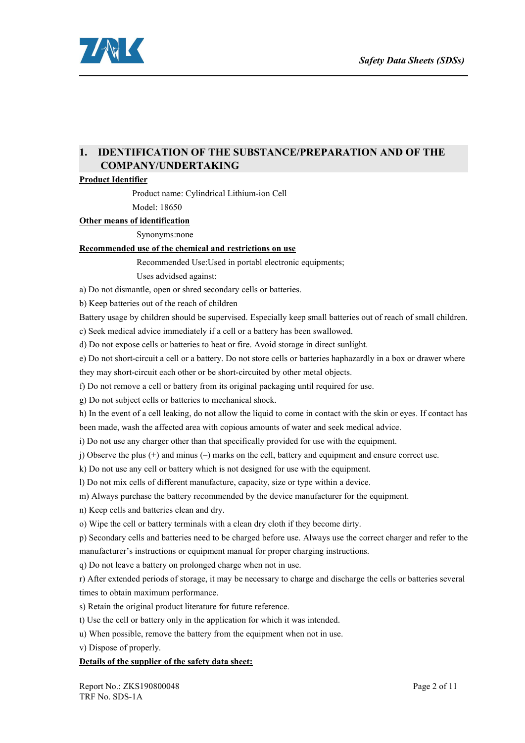

## **1. IDENTIFICATION OF THE SUBSTANCE/PREPARATION AND OF THE COMPANY/UNDERTAKING**

#### **Product Identifier**

Product name: Cylindrical Lithium-ion Cell Model: 18650

#### **Other** means of identification

Synonyms:none

### **Recommended use of the chemical and restrictions on use**

Recommended Use:Used in portabl electronic equipments;

Uses advidsed against:

a) Do not dismantle, open or shred secondary cells or batteries.

b) Keep batteries out of the reach of children

Battery usage by children should be supervised. Especially keep small batteries out of reach of small children.

c) Seek medical advice immediately if a cell or a battery has been swallowed.

d) Do not expose cells or batteries to heat or fire. Avoid storage in direct sunlight.

e) Do not short-circuit a cell or a battery. Do not store cells orbatteries haphazardly in a box or drawer where

they may short-circuit each other or be short-circuited by other metal objects.

f) Do not remove a cell or battery from its original packaging until required for use.

g) Do not subject cells or batteries to mechanical shock.

h) In the event of a cell leaking, do not allow the liquid to come in contact with the skin or eyes. If contact has been made, wash the affected area with copious amounts of water and seek medical advice.

i) Do not use any charger other than that specifically provided for use with the equipment.

j) Observe the plus (+) and minus (–) marks on the cell, battery and equipment and ensure correct use.

k) Do not use any cell or battery which is not designed for use with the equipment.

l) Do not mix cells of different manufacture, capacity, size or type within a device.

m) Always purchase the battery recommended by the device manufacturer for the equipment.

n) Keep cells and batteries clean and dry.

o) Wipe the cell or battery terminals with a clean dry cloth if they become dirty.

p) Secondary cellsand batteries need to be charged before use. Always use the correct charger and refer to the manufacturer's instructions or equipment manual for proper charging instructions.

q) Do not leave a battery on prolonged charge when not in use.

r) After extended periods of storage, it may be necessary to charge and discharge the cells orbatteries several times to obtain maximum performance.

s) Retain the original product literature for future reference.

t) Use the cell or battery only in the application for which it was intended.

u) When possible, remove the battery from the equipment when not in use.

v) Dispose of properly.

#### **Details** of the supplier of the safety data sheet: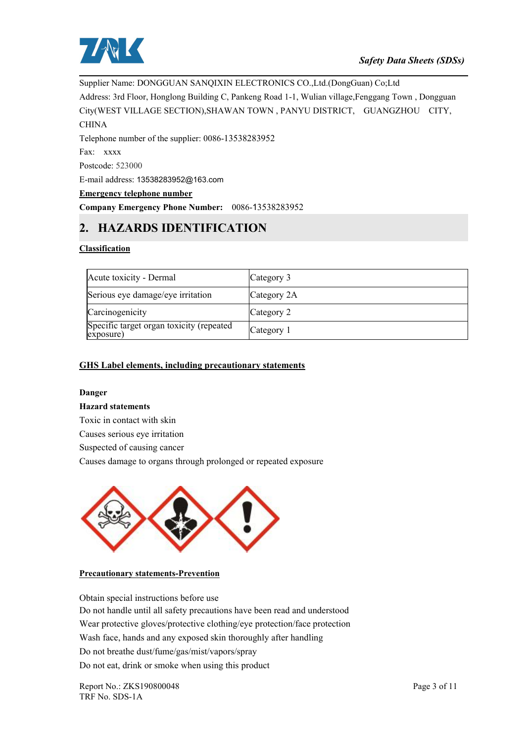

Supplier Name: DONGGUAN SANQIXIN ELECTRONICS CO.,Ltd.(DongGuan) Co;Ltd Address: 3rd Floor, Honglong Building C, Pankeng Road 1-1, Wulian village,Fenggang Town , Dongguan City(WEST VILLAGE SECTION),SHAWAN TOWN , PANYU DISTRICT, GUANGZHOU CITY, **CHINA** Telephone number of the supplier: 0086-13538283952 Fax: xxxx Postcode: 523000 E-mail address: 13538283952@163.com

### **Emergency telephone number**

**Company Emergency Phone Number:** 0086-13538283952

## **2. HAZARDS IDENTIFICATION**

#### **Classification**

| Acute toxicity - Dermal                               | Category 3  |
|-------------------------------------------------------|-------------|
| Serious eye damage/eye irritation                     | Category 2A |
| Carcinogenicity                                       | Category 2  |
| Specific target organ toxicity (repeated<br>exposure) | Category 1  |

#### **GHS Label elements, including precautionary statements**

#### **Danger**

#### **Hazard statements**

Toxic in contact with skin

Causes serious eye irritation

Suspected of causing cancer

Causes damage to organs through prolonged or repeated exposure



#### **Precautionary statements-Prevention**

Obtain special instructions before use Do not handle until all safety precautions have been read and understood Wear protective gloves/protective clothing/eye protection/face protection Wash face, hands and any exposed skin thoroughly after handling Do not breathe dust/fume/gas/mist/vapors/spray Do not eat, drink or smoke when using this product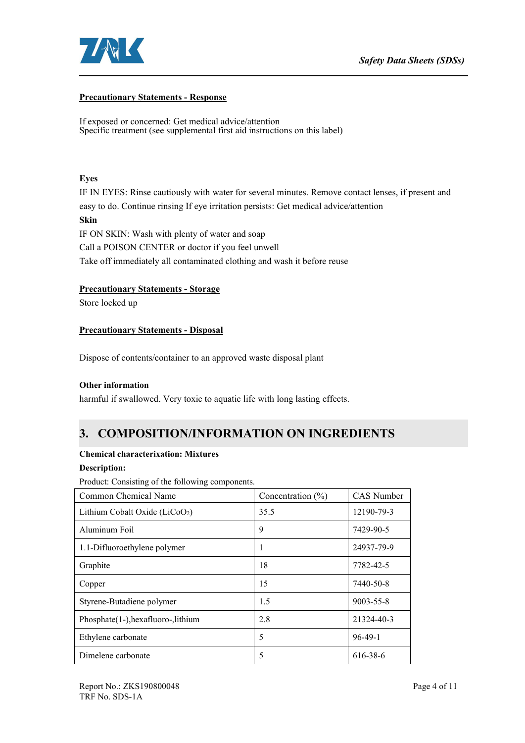

#### **Precautionary Statements - Response**

If exposed or concerned: Get medical advice/attention Specific treatment (see supplemental first aid instructions on this label)

## **Eyes**

IF IN EYES: Rinse cautiously with water for several minutes. Remove contactlenses, if present and easy to do. Continue rinsing If eye irritation persists: Get medical advice/attention **Skin** IF ON SKIN: Wash with plenty of water and soap Call a POISON CENTER or doctor if you feel unwell Take off immediately all contaminated clothing and wash it before reuse

### **Precautionary Statements - Storage**

Store locked up

### **Precautionary Statements - Disposal**

Dispose of contents/container to an approved waste disposal plant

## **Other information**

harmful if swallowed. Very toxic to aquatic life with long lasting effects.

# **3. COMPOSITION/INFORMATION ON INGREDIENTS**

### **Chemical characterixation: Mixtures**

#### **Description:**

Product: Consisting of the following components.

| Common Chemical Name                | Concentration $(\% )$ | <b>CAS</b> Number |
|-------------------------------------|-----------------------|-------------------|
| Lithium Cobalt Oxide ( $LiCoO2$ )   | 35.5                  | 12190-79-3        |
| Aluminum Foil                       | 9                     | 7429-90-5         |
| 1.1-Difluoroethylene polymer        |                       | 24937-79-9        |
| Graphite                            | 18                    | 7782-42-5         |
| Copper                              | 15                    | 7440-50-8         |
| Styrene-Butadiene polymer           | 1.5                   | $9003 - 55 - 8$   |
| Phosphate(1-), hexafluoro-, lithium | 2.8                   | 21324-40-3        |
| Ethylene carbonate                  | 5                     | $96-49-1$         |
| Dimelene carbonate                  | 5                     | 616-38-6          |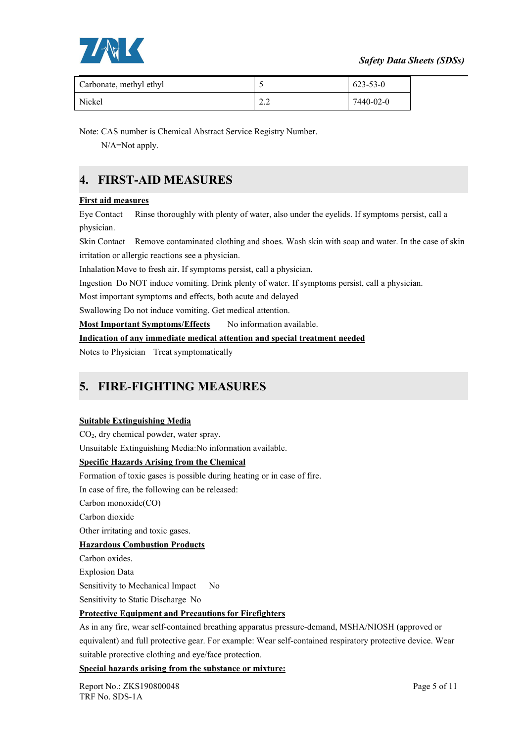



| Carbonate, methyl ethyl |                      | 623-53-0  |
|-------------------------|----------------------|-----------|
| Nickel                  | $\sim$ $\sim$<br>ے ۔ | 7440-02-0 |

Note: CAS number is Chemical Abstract Service Registry Number.

N/A=Not apply.

# **4. FIRST-AID MEASURES**

## **First aid measures**

Eye Contact Rinse thoroughly with plenty of water, also under the eyelids. If symptoms persist, call a physician.

Skin Contact Remove contaminated clothing and shoes. Wash skin with soap and water. In the case of skin irritation or allergic reactions see a physician.

Inhalation Move to fresh air. If symptoms persist, call a physician.

Ingestion Do NOT induce vomiting. Drink plenty of water. If symptoms persist, call a physician.

Most important symptoms and effects, both acute and delayed

Swallowing Do not induce vomiting. Get medical attention.

**Most Important Symptoms/Effects** No information available.

### **Indication of any immediate medical attention and special treatment needed**

Notes to Physician Treat symptomatically

# **5. FIRE-FIGHTING MEASURES**

### **Suitable Extinguishing Media**

CO2, dry chemical powder, water spray.

Unsuitable Extinguishing Media:No information available.

### **Specific Hazards Arising from the Chemical**

Formation of toxic gases is possible during heating or in case of fire.

In case of fire, the following can be released:

Carbon monoxide(CO)

Carbon dioxide

Other irritating and toxic gases.

### **Hazardous Combustion Products**

Carbon oxides.

Explosion Data

Sensitivity to Mechanical Impact No

Sensitivity to Static Discharge No

### **Protective Equipment and Precautions for Firefighters**

As in any fire, wear self-contained breathing apparatus pressure-demand, MSHA/NIOSH (approved or equivalent) and full protective gear. For example: Wear self-contained respiratory protective device. Wear suitable protective clothing and eye/face protection.

### **Special hazards arising from the substance or mixture:**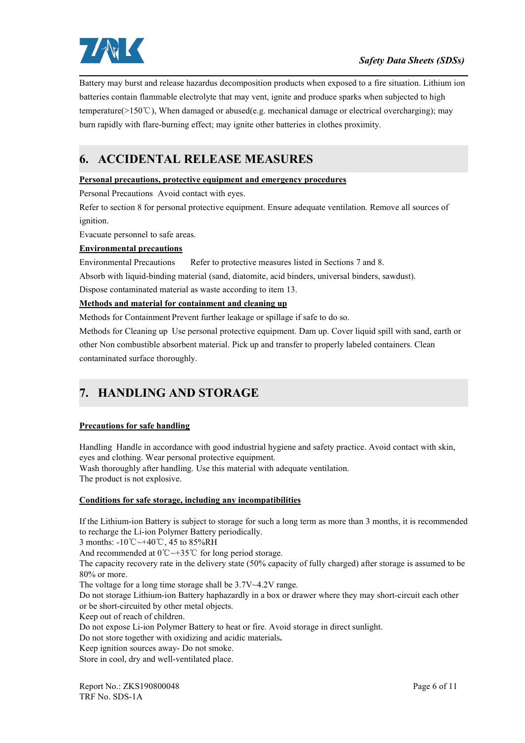

Battery may burstand release hazardus decomposition products when exposed to a fire situation. Lithium ion batteries contain flammable electrolyte that may vent, ignite and produce sparks when subjected to high temperature(>150℃), When damaged or abused(e.g. mechanical damage or electrical overcharging); may burn rapidly with flare-burning effect; may ignite other batteries in clothes proximity.

# **6. ACCIDENTAL RELEASE MEASURES**

### **Personal precautions, protective equipment and emergency procedures**

Personal Precautions Avoid contact with eyes.

Refer to section 8 for personal protective equipment. Ensure adequate ventilation. Remove all sources of ignition.

Evacuate personnel to safe areas.

### **Environmental precautions**

Environmental Precautions Refer to protective measures listed in Sections 7 and 8.

Absorb with liquid-binding material (sand, diatomite, acid binders, universal binders, sawdust).

Dispose contaminated material as waste according to item 13.

## **Methods and material for containment and cleaning up**

Methods for Containment Prevent further leakage or spillage if safe to do so.<br>Methods for Cleaning up Use personal protective equipment. Dam up. Cover liquid spill with sand, earth or other Non combustible absorbent material. Pick up and transfer to properly labeled containers. Clean contaminated surface thoroughly.

# **7. HANDLING AND STORAGE**

### **Precautions for safe handling**

Handling Handle in accordance with good industrial hygiene and safety practice. Avoid contact with skin, eyes and clothing. Wear personal protective equipment. Wash thoroughly after handling. Use this material with adequate ventilation.

The product is not explosive.

### **Conditions for safe storage, including any incompatibilities**

If the Lithium-ion Battery is subject to storage for such a long term as more than 3 months, it is recommended to recharge the Li-ion Polymer Battery periodically.

3 months: -10℃~+40℃, 45 to 85%RH

And recommended at 0℃~+35℃ for long period storage.

The capacity recovery rate in the delivery state (50% capacity of fully charged) after storage is assumed to be 80% or more.

The voltage for a long time storage shall be  $3.7V~4.2V$  range.

Do not storage Lithium-ion Battery haphazardly in a box or drawer where they may short-circuit each other or be short-circuited by other metal objects.

Keep out of reach of children.

Do not expose Li-ion Polymer Battery to heat or fire. Avoid storage in direct sunlight.

Do not store together with oxidizing and acidic materials**.**

Keep ignition sources away- Do not smoke.

Store in cool, dry and well-ventilated place.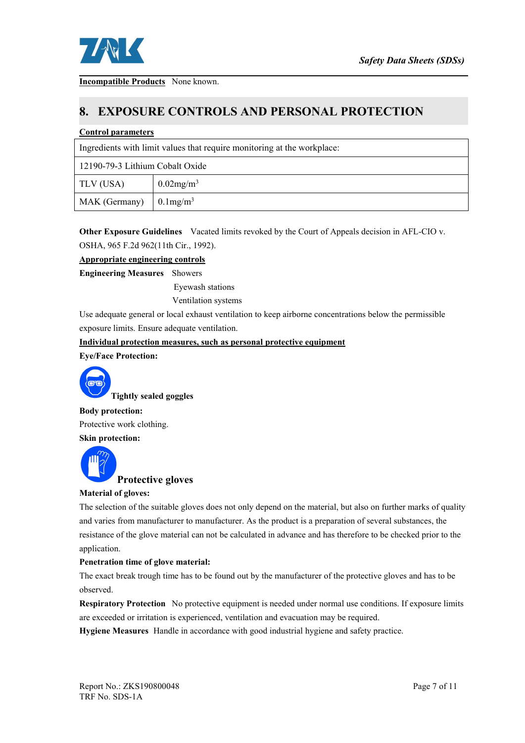

**Incompatible Products** None known.

## **8. EXPOSURE CONTROLS AND PERSONAL PROTECTION**

#### **Control parameters**

|                                        | Ingredients with limit values that require monitoring at the workplace: |
|----------------------------------------|-------------------------------------------------------------------------|
| 12190-79-3 Lithium Cobalt Oxide        |                                                                         |
| TLV (USA)                              | $0.02$ mg/m <sup>3</sup>                                                |
| MAK (Germany) $\int 0.1 \text{mg/m}^3$ |                                                                         |

**Other Exposure Guidelines** Vacated limits revoked by the Court of Appeals decision in AFL-CIO v. OSHA, 965 F.2d 962(11th Cir., 1992).

## **Appropriate engineering controls**

**Engineering Measures** Showers Eyewash stations

Ventilation systems

Use adequate general or local exhaust ventilation to keep airborne concentrations below the permissible exposure limits. Ensure adequate ventilation.

**Individual protection measures, such as personal protective equipment**

**Eye/Face Protection:**



**Tightly sealed goggles**

**Body protection:** Protective work clothing.

**Skin protection:**



### **Material of gloves:**

The selection of the suitable gloves does not only depend on the material, but also on further marks of quality and varies from manufacturer to manufacturer. As the product is a preparation of several substances, the resistance of the glove material can not be calculated in advance and has therefore to be checked prior to the application.

### **Penetration timeof glove material:**

The exact break trough time has to be found out by the manufacturer of the protective gloves and has to be observed.

**Respiratory Protection** No protective equipment is needed under normal use conditions. If exposure limits are exceeded or irritation is experienced, ventilation and evacuation may be required.

**Hygiene Measures** Handle in accordance with good industrial hygiene and safety practice.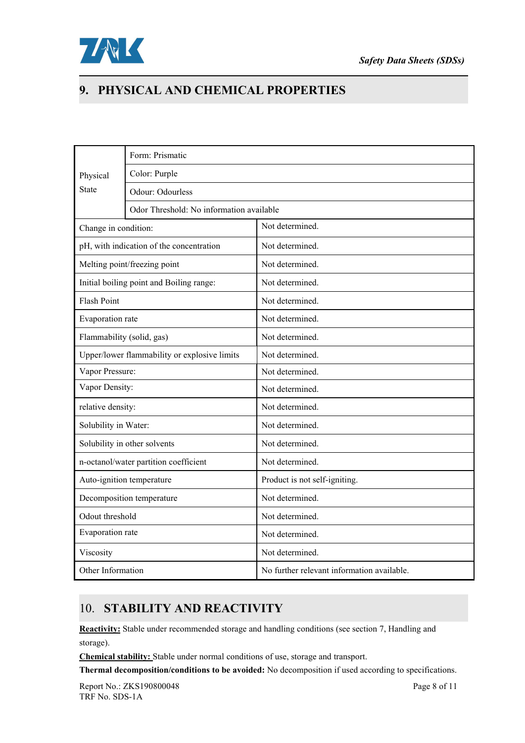

# **9. PHYSICAL AND CHEMICAL PROPERTIES**

|                           | Form: Prismatic                              |                                            |  |  |
|---------------------------|----------------------------------------------|--------------------------------------------|--|--|
| Physical                  | Color: Purple                                |                                            |  |  |
| <b>State</b>              | Odour: Odourless                             |                                            |  |  |
|                           | Odor Threshold: No information available     |                                            |  |  |
| Change in condition:      |                                              | Not determined.                            |  |  |
|                           | pH, with indication of the concentration     | Not determined.                            |  |  |
|                           | Melting point/freezing point                 | Not determined.                            |  |  |
|                           | Initial boiling point and Boiling range:     | Not determined.                            |  |  |
| <b>Flash Point</b>        |                                              | Not determined.                            |  |  |
| Evaporation rate          |                                              | Not determined.                            |  |  |
| Flammability (solid, gas) |                                              | Not determined.                            |  |  |
|                           | Upper/lower flammability or explosive limits | Not determined.                            |  |  |
| Vapor Pressure:           |                                              | Not determined.                            |  |  |
| Vapor Density:            |                                              | Not determined.                            |  |  |
| relative density:         |                                              | Not determined.                            |  |  |
| Solubility in Water:      |                                              | Not determined.                            |  |  |
|                           | Solubility in other solvents                 | Not determined.                            |  |  |
|                           | n-octanol/water partition coefficient        | Not determined.                            |  |  |
|                           | Auto-ignition temperature                    | Product is not self-igniting.              |  |  |
|                           | Decomposition temperature                    | Not determined.                            |  |  |
| Odout threshold           |                                              | Not determined.                            |  |  |
| Evaporation rate          |                                              | Not determined.                            |  |  |
| Viscosity                 |                                              | Not determined.                            |  |  |
| Other Information         |                                              | No further relevant information available. |  |  |

# 10. **STABILITY AND REACTIVITY**

**Reactivity:** Stable under recommended storage and handling conditions (see section 7, Handling and storage).

**Chemical stability:** Stable under normal conditions of use, storage and transport.

**Thermal decomposition/conditions to be avoided:** No decomposition if used according to specifications.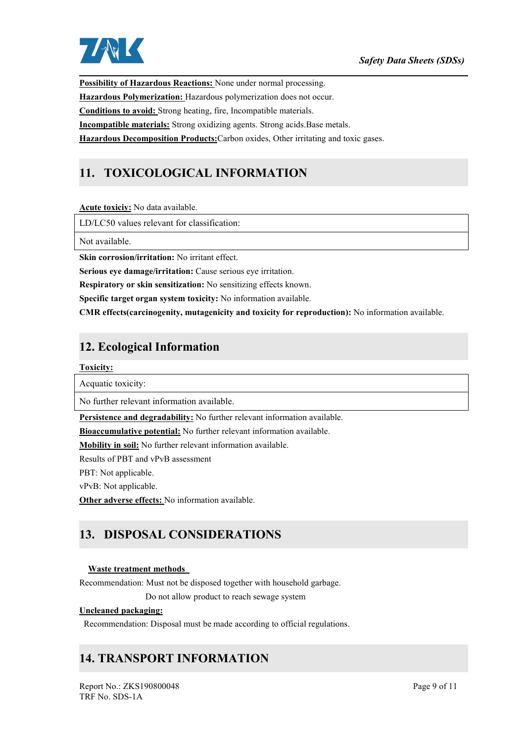

**Possibility of Hazardous Reactions:** None under normal processing. **Hazardous Polymerization:** Hazardous polymerization doesnot occur. **Conditions to avoid:** Strong heating, fire, Incompatible materials. **Incompatible materials:** Strong oxidizing agents. Strong acids.Base metals. **Hazardous Decomposition Products:**Carbon oxides, Other irritating and toxic gases.

# **11. TOXICOLOGICAL INFORMATION**

**Acute toxiciy:** No data available.

LD/LC50 values relevant for classification:

Not available.

**Skin corrosion/irritation:** No irritant effect.

**Serious eye damage/irritation:** Cause serious eye irritation.

**Respiratory or skin sensitization:** No sensitizing effects known.

**Specific target organ system toxicity:** No information available.

**CMR effects(carcinogenity, mutagenicity and toxicity for reproduction):** No information available.

# **12. Ecological Information**

**Toxicity:**

Acquatic toxicity:

No further relevant information available.

**Persistence and degradability:** No further relevant information available.

**Bioaccumulative potential:** No further relevant information available.

**Mobility in soil:**No further relevant information available.

Results of PBT and vPvB assessment

PBT: Not applicable.

vPvB: Not applicable.

**Other adverse effects:** No information available.

# **13. DISPOSAL CONSIDERATIONS**

#### **Waste treatment methods**

Recommendation: Must not be disposed together with household garbage.

Do not allow product to reach sewage system

#### **Uncleaned packaging:**

Recommendation: Disposal must be made according to official regulations.

## **14. TRANSPORT INFORMATION**

Report No.: ZKS190800048 Page 9 of 11 TRF No. SDS-1A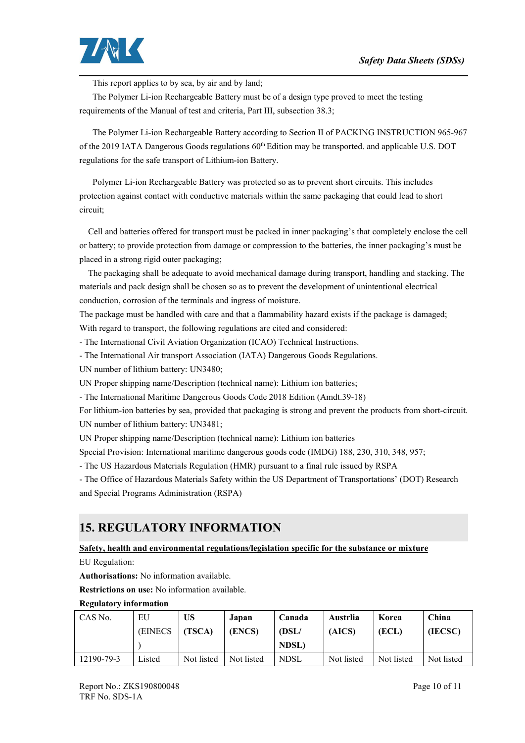

This report applies to by sea, by air and by land;

The Polymer Li-ion Rechargeable Battery must be of a design type proved to meet the testing requirements of the Manual of test and criteria, Part III, subsection 38.3;

The Polymer Li-ion Rechargeable Battery according to Section II of PACKING INSTRUCTION 965-967 of the 2019 IATA Dangerous Goods regulations 60<sup>th</sup> Edition may be transported. and applicable U.S. DOT regulations for the safe transport of Lithium-ion Battery.

Polymer Li-ion Rechargeable Battery was protected so as to prevent short circuits. This includes protection against contact with conductive materials within the same packaging that could lead to short circuit;

Cell and batteries offered for transport must be packed in inner packaging's that completely enclose the cell or battery; to provide protection from damage or compression to the batteries, the inner packaging's must be placed in a strong rigid outer packaging;

The packaging shall be adequate to avoid mechanical damage during transport, handling and stacking. The materials and pack design shall be chosen so as to prevent the development of unintentional electrical conduction, corrosion of the terminals and ingress of moisture.

The package must be handled with care and that a flammability hazard exists if the package is damaged; With regard to transport, the following regulations are cited and considered:

- The International Civil Aviation Organization (ICAO) Technical Instructions.

- The International Air transport Association (IATA) Dangerous Goods Regulations.

UN number of lithium battery: UN3480;

UN Proper shipping name/Description (technical name): Lithium ion batteries;

- The International Maritime Dangerous Goods Code 2018 Edition (Amdt.39-18)

For lithium-ion batteries by sea, provided that packaging is strong and prevent the products from short-circuit. UN number of lithium battery: UN3481;

UN Proper shipping name/Description (technical name): Lithium ion batteries

Special Provision: International maritime dangerous goods code (IMDG) 188, 230, 310, 348, 957;

- The US Hazardous Materials Regulation (HMR) pursuant to a final rule issued by RSPA

- The Office of Hazardous Materials Safety within the US Department of Transportations' (DOT) Research and Special Programs Administration (RSPA)

# **15. REGULATORY INFORMATION**

**Safety, health and environmental regulations/legislation specific for the substance or mixture**

EU Regulation:

**Authorisations:** No information available.

**Restrictions on use:** No information available.

**Regulatory information**

| CAS No.    | EU              | <b>US</b>  | Japan      | Canada       | Austrlia   | Korea      | China      |
|------------|-----------------|------------|------------|--------------|------------|------------|------------|
|            | <b>(EINECS)</b> | (TSCA)     | (ENCS)     | (DSL/        | (AICS)     | (ECL)      | (IECSC)    |
|            |                 |            |            | <b>NDSL)</b> |            |            |            |
| 12190-79-3 | Listed          | Not listed | Not listed | <b>NDSL</b>  | Not listed | Not listed | Not listed |